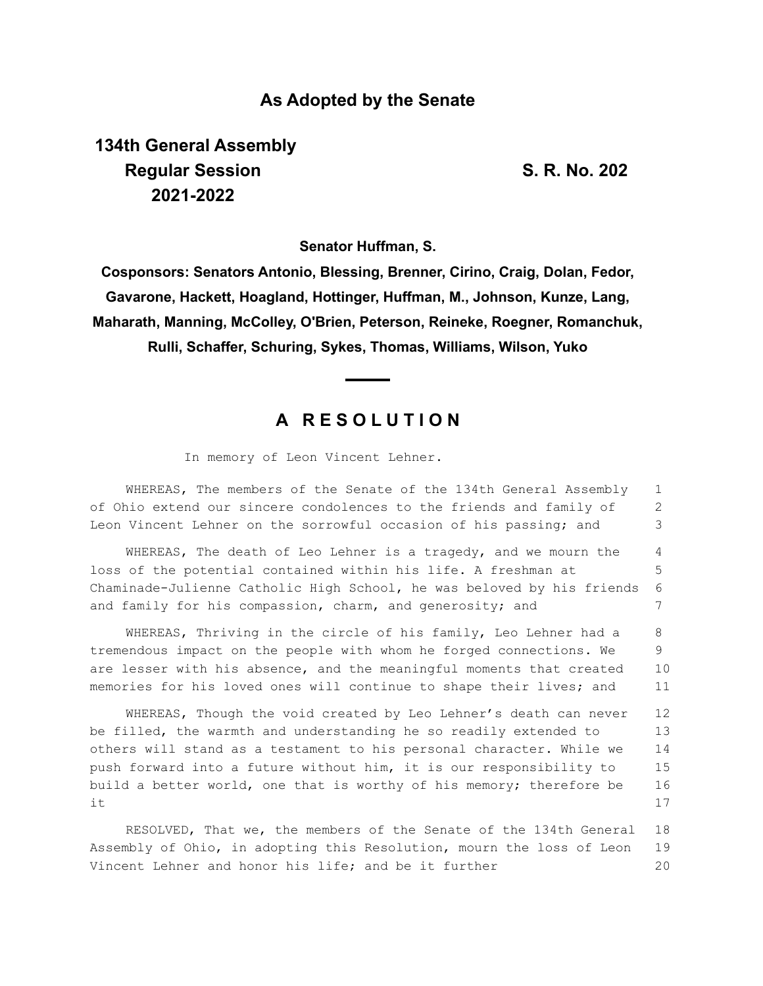## **As Adopted by the Senate**

**134th General Assembly Regular Session S. R. No. 202 2021-2022**

**Senator Huffman, S.**

**Cosponsors: Senators Antonio, Blessing, Brenner, Cirino, Craig, Dolan, Fedor, Gavarone, Hackett, Hoagland, Hottinger, Huffman, M., Johnson, Kunze, Lang, Maharath, Manning, McColley, O'Brien, Peterson, Reineke, Roegner, Romanchuk, Rulli, Schaffer, Schuring, Sykes, Thomas, Williams, Wilson, Yuko**

## **A R E S O L U T I O N**

In memory of Leon Vincent Lehner.

WHEREAS, The members of the Senate of the 134th General Assembly of Ohio extend our sincere condolences to the friends and family of Leon Vincent Lehner on the sorrowful occasion of his passing; and 1 2 3

WHEREAS, The death of Leo Lehner is a tragedy, and we mourn the loss of the potential contained within his life. A freshman at Chaminade-Julienne Catholic High School, he was beloved by his friends and family for his compassion, charm, and generosity; and 4 5 6 7

WHEREAS, Thriving in the circle of his family, Leo Lehner had a tremendous impact on the people with whom he forged connections. We are lesser with his absence, and the meaningful moments that created memories for his loved ones will continue to shape their lives; and 8 9 10 11

WHEREAS, Though the void created by Leo Lehner's death can never be filled, the warmth and understanding he so readily extended to others will stand as a testament to his personal character. While we push forward into a future without him, it is our responsibility to build a better world, one that is worthy of his memory; therefore be it 12 13 14 15 16 17

RESOLVED, That we, the members of the Senate of the 134th General Assembly of Ohio, in adopting this Resolution, mourn the loss of Leon Vincent Lehner and honor his life; and be it further 18 19 20